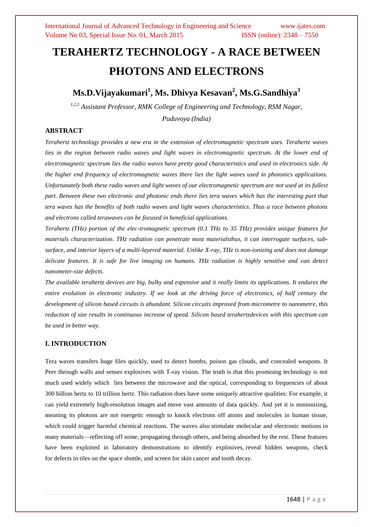# **TERAHERTZ TECHNOLOGY - A RACE BETWEEN PHOTONS AND ELECTRONS**

**Ms.D.Vijayakumari<sup>1</sup> , Ms. Dhivya Kesavan<sup>2</sup> , Ms.G.Sandhiya<sup>3</sup>**

*1,2,3 Assistant Professor, RMK College of Engineering and Technology, RSM Nagar, Puduvoya (India)*

# **ABSTRACT**

*Terahertz technology provides a new era in the extension of electromagnetic spectrum uses. Terahertz waves*  lies in the region between radio waves and light waves in electromagnetic spectrum. At the lower end of *electromagnetic spectrum lies the radio waves have pretty good characteristics and used in electronics side. At the higher end frequency of electromagnetic waves there lies the light waves used in photonics applications. Unfortunately both these radio waves and light waves of our electromagnetic spectrum are not used at its fullest part. Between these two electronic and photonic ends there lies tera waves which has the interesting part that tera waves has the benefits of both radio waves and light waves characteristics. Thus a race between photons and electrons called terawaves can be focused in beneficial applications.*

*Terahertz (THz) portion of the elec-tromagnetic spectrum (0.1 THz to 35 THz) provides unique features for materials characterization. THz radiation can penetrate most materialsthus, it can interrogate surfaces, subsurface, and interior layers of a multi-layered material. Unlike X-ray, THz is non-ionizing and does not damage delicate features. It is safe for live imaging on humans. THz radiation is highly sensitive and can detect nanometer-size defects.*

*The available terahertz devices are big, bulky and expensive and it really limits its applications. It endures the entire evolution in electronic industry. If we look at the driving force of electronics, of half century the development of silicon based circuits is abundant. Silicon circuits improved from micrometre to nanometre, this reduction of size results in continuous increase of speed. Silicon based terahertzdevices with this spectrum can be used in better way.* 

## **I. INTRODUCTION**

Tera waves transfers huge files quickly, used to detect bombs, poison gas clouds, and concealed weapons. It Peer through walls and senses explosives with T-ray vision. The truth is that this promising technology is not much used widely which lies between the microwave and the optical, corresponding to frequencies of about 300 billion hertz to 10 trillion hertz. This radiation does have some uniquely attractive qualities: For example, it can yield [extremely high-resolution images](http://www.nanowerk.com/news/newsid=7647.php) and [move vast amounts of data quickly.](http://www.bbc.co.uk/news/science-environment-18072618) And yet it is nonionizing, meaning its photons are not energetic enough to knock electrons off atoms and molecules in human tissue, which could trigger harmful chemical reactions. The waves also [stimulate molecular and electronic motions](http://www.laserfocusworld.com/articles/print/volume-48/issue-01/features/terahertz-technology-enables-systems-for-molecular-characterization.html) in many materials—reflecting off some, propagating through others, and being absorbed by the rest. These features have been exploited in laboratory demonstrations to identify explosives, [reveal hidden weapons,](https://www.ncjrs.gov/App/Publications/abstract.aspx?ID=255281) check for [defects in tiles on the space shuttle,](http://spinoff.nasa.gov/Spinoff2010/ps_8.html) and [screen for skin cancer](http://www.news.cornell.edu/stories/July12/TeraHertzRing.html) and tooth decay.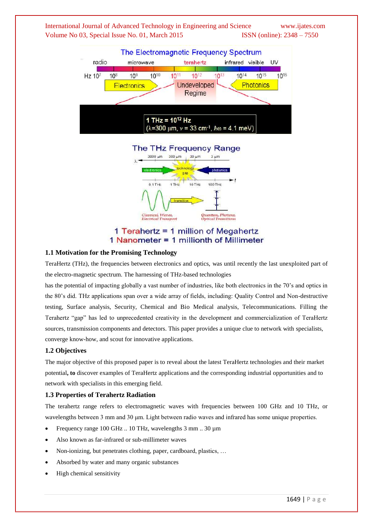



# Quantum, Photons,<br>Optical Transitions Classical, Waves,<br>Electrical Transport 1 Terahertz = 1 million of Megahertz 1 Nanometer = 1 millionth of Millimeter

**10 THZ** 

100 TH

 $1THZ$ 

 $0.1$ THz

#### **1.1 Motivation for the Promising Technology**

TeraHertz (THz), the frequencies between electronics and optics, was until recently the last unexploited part of the electro-magnetic spectrum. The harnessing of THz-based technologies

has the potential of impacting globally a vast number of industries, like both electronics in the 70's and optics in the 80's did. THz applications span over a wide array of fields, including: Quality Control and Non-destructive testing, Surface analysis, Security, Chemical and Bio Medical analysis, Telecommunications. Filling the Terahertz "gap" has led to unprecedented creativity in the development and commercialization of TeraHertz sources, transmission components and detectors. This paper provides a unique clue to network with specialists, converge know-how, and scout for innovative applications.

#### **1.2 Objectives**

The major objective of this proposed paper is to reveal about the latest TeraHertz technologies and their market potential**, to** discover examples of TeraHertz applications and the corresponding industrial opportunities and to network with specialists in this emerging field.

#### **1.3 Properties of Terahertz Radiation**

The terahertz range refers to electromagnetic waves with frequencies between 100 GHz and 10 THz, or wavelengths between 3 mm and 30 μm. Light between radio waves and infrared has some unique properties.

- Frequency range 100 GHz .. 10 THz, wavelengths 3 mm .. 30 um
- Also known as far-infrared or sub-millimeter waves
- Non-ionizing, but penetrates clothing, paper, cardboard, plastics, …
- Absorbed by water and many organic substances
- High chemical sensitivity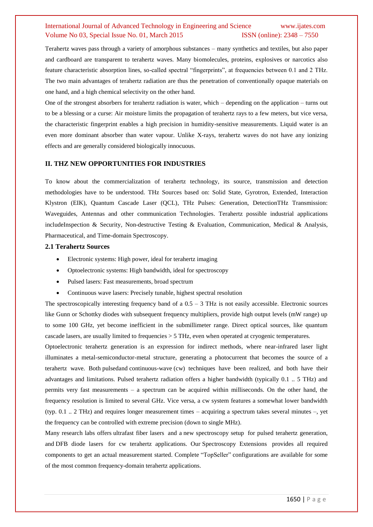Terahertz waves pass through a variety of amorphous substances – many synthetics and textiles, but also paper and cardboard are transparent to terahertz waves. Many biomolecules, proteins, explosives or narcotics also feature characteristic absorption lines, so-called spectral "fingerprints", at frequencies between 0.1 and 2 THz. The two main advantages of terahertz radiation are thus the penetration of conventionally opaque materials on one hand, and a high chemical selectivity on the other hand.

One of the strongest absorbers for terahertz radiation is water, which – depending on the application – turns out to be a blessing or a curse: Air moisture limits the propagation of terahertz rays to a few meters, but vice versa, the characteristic fingerprint enables a high precision in humidity-sensitive measurements. Liquid water is an even more dominant absorber than water vapour. Unlike X-rays, terahertz waves do not have any ionizing effects and are generally considered biologically innocuous.

#### **II. THZ NEW OPPORTUNITIES FOR INDUSTRIES**

To know about the commercialization of terahertz technology, its source, transmission and detection methodologies have to be understood. THz Sources based on: Solid State, Gyrotron, Extended, Interaction Klystron (EIK), Quantum Cascade Laser (QCL), THz Pulses: Generation, DetectionTHz Transmission: Waveguides, Antennas and other communication Technologies. Terahertz possible industrial applications includeInspection & Security, Non-destructive Testing & Evaluation, Communication, Medical & Analysis, Pharmaceutical, and Time-domain Spectroscopy.

#### **2.1 Terahertz Sources**

- Electronic systems: High power, ideal for terahertz imaging
- Optoelectronic systems: High bandwidth, ideal for spectroscopy
- Pulsed lasers: Fast measurements, broad spectrum
- Continuous wave lasers: Precisely tunable, highest spectral resolution

The spectroscopically interesting frequency band of a  $0.5 - 3$  THz is not easily accessible. Electronic sources like Gunn or Schottky diodes with subsequent frequency multipliers, provide high output levels (mW range) up to some 100 GHz, yet become inefficient in the submillimeter range. Direct optical sources, like quantum cascade lasers, are usually limited to frequencies > 5 THz, even when operated at cryogenic temperatures.

Optoelectronic terahertz generation is an expression for indirect methods, where near-infrared laser light illuminates a metal-semiconductor-metal structure, generating a photocurrent that becomes the source of a terahertz wave. Both [pulseda](http://www.toptica.com/products/terahertz_generation/terahertz_technologysources_and_thz_generation_methods/pulsed_terahertz_generation.html)nd [continuous-wave](http://www.toptica.com/products/terahertz_generation/terahertz_technologysources_and_thz_generation_methods/cw_terahertz_generation.html) (cw) techniques have been realized, and both have their advantages and limitations. Pulsed terahertz radiation offers a higher bandwidth (typically 0.1 .. 5 THz) and permits very fast measurements – a spectrum can be acquired within milliseconds. On the other hand, the frequency resolution is limited to several GHz. Vice versa, a cw system features a somewhat lower bandwidth (typ. 0.1 .. 2 THz) and requires longer measurement times – acquiring a spectrum takes several minutes –, yet the frequency can be controlled with extreme precision (down to single MHz).

Many research labs offers [ultrafast](http://www.toptica.com/products/ultrafast_fiber_lasers.html) fiber lasers and a new [spectroscopy](http://www.toptica.com/products/terahertz_generation/fs_packages/teraflash.html) setup for pulsed terahertz generation, and DFB diode [lasers](http://www.toptica.com/products/terahertz_generation/lasers_and_photomixers_for_cw_terahertz_generation/cw_terahertzstandard_laser_package.html) for cw terahertz applications. Our [Spectroscopy](http://www.toptica.com/products/terahertz_generation/lasers_and_photomixers_for_cw_terahertz_generation/cw_terahertz_spectroscopy_extension.html) Extensions provides all required components to get an actual measurement started. Complete "TopSeller" configurations are available for some of the most common frequency-domain terahertz applications.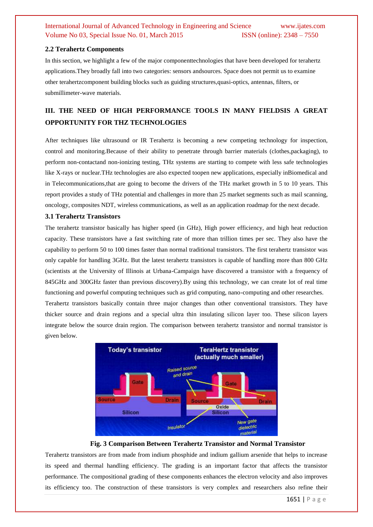#### **2.2 Terahertz Components**

In this section, we highlight a few of the major componenttechnologies that have been developed for terahertz applications.They broadly fall into two categories: sensors andsources. Space does not permit us to examine other terahertzcomponent building blocks such as guiding structures,quasi-optics, antennas, filters, or submillimeter-wave materials.

# **III. THE NEED OF HIGH PERFORMANCE TOOLS IN MANY FIELDSIS A GREAT OPPORTUNITY FOR THZ TECHNOLOGIES**

After techniques like ultrasound or IR Terahertz is becoming a new competing technology for inspection, control and monitoring.Because of their ability to penetrate through barrier materials (clothes,packaging), to perform non-contactand non-ionizing testing, THz systems are starting to compete with less safe technologies like X-rays or nuclear.THz technologies are also expected toopen new applications, especially inBiomedical and in Telecommunications,that are going to become the drivers of the THz market growth in 5 to 10 years. This report provides a study of THz potential and challenges in more than 25 market segments such as mail scanning, oncology, composites NDT, wireless communications, as well as an application roadmap for the next decade.

#### **3.1 Terahertz Transistors**

The terahertz transistor basically has higher speed (in GHz), High power efficiency, and high heat reduction capacity. These transistors have a fast switching rate of more than trillion times per sec. They also have the capability to perform 50 to 100 times faster than normal traditional transistors. The first terahertz transistor was only capable for handling 3GHz. But the latest terahertz transistors is capable of handling more than 800 GHz (scientists at the University of Illinois at Urbana-Campaign have discovered a transistor with a frequency of 845GHz and 300GHz faster than previous discovery).By using this technology, we can create lot of real time functioning and powerful computing techniques such as grid computing, nano-computing and other researches. Terahertz transistors basically contain three major changes than other conventional transistors. They have

thicker source and drain regions and a special ultra thin insulating silicon layer too. These silicon layers integrate below the source drain region. The comparison between terahertz transistor and normal transistor is given below.



#### **Fig. 3 Comparison Between Terahertz Transistor and Normal Transistor**

Terahertz transistors are from made from indium phosphide and indium gallium arsenide that helps to increase its speed and thermal handling efficiency. The grading is an important factor that affects the transistor performance. The compositional grading of these components enhances the electron velocity and also improves its efficiency too. The construction of these transistors is very complex and researchers also refine their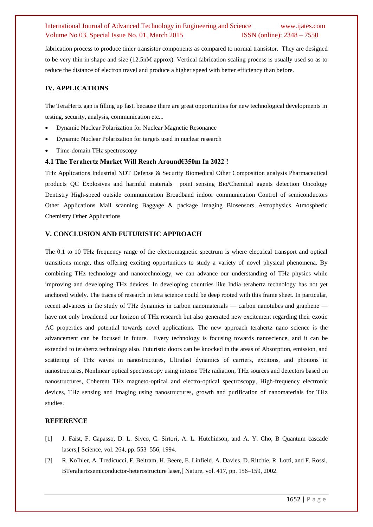fabrication process to produce tinier transistor components as compared to normal transistor. They are designed to be very thin in shape and size (12.5nM approx). Vertical fabrication scaling process is usually used so as to reduce the distance of electron travel and produce a higher speed with better efficiency than before.

## **IV. APPLICATIONS**

The TeraHertz gap is filling up fast, because there are great opportunities for new technological developments in testing, security, analysis, communication etc...

- [Dynamic Nuclear Polarization](http://wiki.epfl.ch/thz/dnpnmr) for Nuclear Magnetic Resonance
- Dynamic Nuclear Polarization for [targets used in nuclear research](http://ltf.web.psi.ch/)
- [Time-domain THz spectroscopy](http://wiki.epfl.ch/thz/tdspectro)

#### **4.1 The Terahertz Market Will Reach Around€350m In 2022 !**

THz Applications Industrial NDT Defense & Security Biomedical Other Composition analysis Pharmaceutical products QC Explosives and harmful materials point sensing Bio/Chemical agents detection Oncology Dentistry High-speed outside communication Broadband indoor communication Control of semiconductors Other Applications Mail scanning Baggage & package imaging Biosensors Astrophysics Atmospheric Chemistry Other Applications

#### **V. CONCLUSION AND FUTURISTIC APPROACH**

The 0.1 to 10 THz frequency range of the electromagnetic spectrum is where electrical transport and optical transitions merge, thus offering exciting opportunities to study a variety of novel physical phenomena. By combining THz technology and nanotechnology, we can advance our understanding of THz physics while improving and developing THz devices. In developing countries like India terahertz technology has not yet anchored widely. The traces of research in tera science could be deep rooted with this frame sheet. In particular, recent advances in the study of THz dynamics in carbon nanomaterials — carbon nanotubes and graphene have not only broadened our horizon of THz research but also generated new excitement regarding their exotic AC properties and potential towards novel applications. The new approach terahertz nano science is the advancement can be focused in future. Every technology is focusing towards nanoscience, and it can be extended to terahertz technology also. Futuristic doors can be knocked in the areas of Absorption, emission, and scattering of THz waves in nanostructures, Ultrafast dynamics of carriers, excitons, and phonons in nanostructures, Nonlinear optical spectroscopy using intense THz radiation, THz sources and detectors based on nanostructures, Coherent THz magneto-optical and electro-optical spectroscopy, High-frequency electronic devices, THz sensing and imaging using nanostructures, growth and purification of nanomaterials for THz studies.

#### **REFERENCE**

- [1] J. Faist, F. Capasso, D. L. Sivco, C. Sirtori, A. L. Hutchinson, and A. Y. Cho, B Quantum cascade lasers,[ Science, vol. 264, pp. 553–556, 1994.
- [2] R. Ko¨hler, A. Tredicucci, F. Beltram, H. Beere, E. Linfield, A. Davies, D. Ritchie, R. Lotti, and F. Rossi, BTerahertzsemiconductor-heterostructure laser,[ Nature, vol. 417, pp. 156–159, 2002.